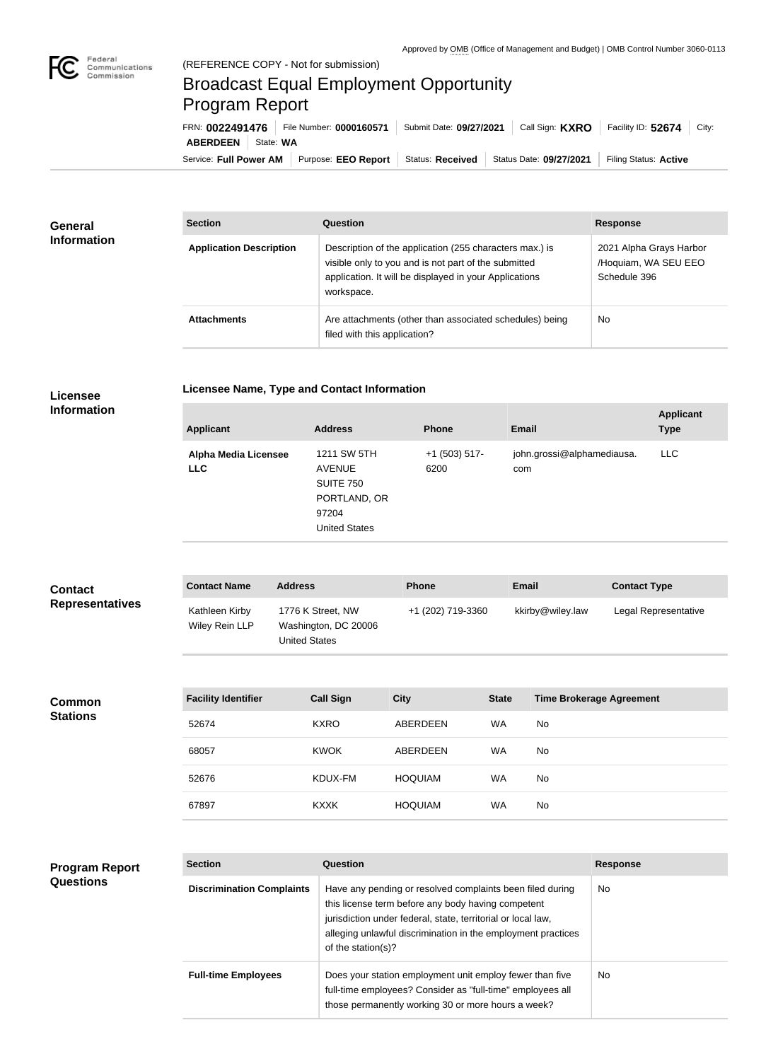

## Broadcast Equal Employment Opportunity Program Report

**Licensee Name, Type and Contact Information**

Service: Full Power AM | Purpose: EEO Report | Status: Received | Status Date: 09/27/2021 | Filing Status: Active **ABERDEEN** State: **WA** FRN: **0022491476** File Number: **0000160571** Submit Date: **09/27/2021** Call Sign: **KXRO** Facility ID: **52674** City:

| <b>General</b><br><b>Information</b> | <b>Section</b>                 | <b>Question</b>                                                                                                                                                                         | <b>Response</b>                                                 |  |
|--------------------------------------|--------------------------------|-----------------------------------------------------------------------------------------------------------------------------------------------------------------------------------------|-----------------------------------------------------------------|--|
|                                      | <b>Application Description</b> | Description of the application (255 characters max.) is<br>visible only to you and is not part of the submitted<br>application. It will be displayed in your Applications<br>workspace. | 2021 Alpha Grays Harbor<br>/Hoquiam, WA SEU EEO<br>Schedule 396 |  |
|                                      | <b>Attachments</b>             | Are attachments (other than associated schedules) being<br>filed with this application?                                                                                                 | No                                                              |  |

## **Licensee Information**

| <b>Applicant</b>                          | <b>Address</b>                                                                                    | <b>Phone</b>            | <b>Email</b>                      | <b>Applicant</b><br><b>Type</b> |
|-------------------------------------------|---------------------------------------------------------------------------------------------------|-------------------------|-----------------------------------|---------------------------------|
| <b>Alpha Media Licensee</b><br><b>LLC</b> | 1211 SW 5TH<br><b>AVENUE</b><br><b>SUITE 750</b><br>PORTLAND, OR<br>97204<br><b>United States</b> | $+1$ (503) 517-<br>6200 | john.grossi@alphamediausa.<br>com | LLC.                            |
|                                           |                                                                                                   |                         |                                   |                                 |

| <b>Contact</b>         | <b>Contact Name</b>              | <b>Address</b>                                                    | <b>Phone</b>      | <b>Email</b>     | <b>Contact Type</b>  |
|------------------------|----------------------------------|-------------------------------------------------------------------|-------------------|------------------|----------------------|
| <b>Representatives</b> | Kathleen Kirby<br>Wiley Rein LLP | 1776 K Street, NW<br>Washington, DC 20006<br><b>United States</b> | +1 (202) 719-3360 | kkirby@wiley.law | Legal Representative |

**Common Stations**

| <b>Facility Identifier</b> | <b>Call Sign</b> | <b>City</b>    | <b>State</b> | <b>Time Brokerage Agreement</b> |
|----------------------------|------------------|----------------|--------------|---------------------------------|
| 52674                      | <b>KXRO</b>      | ABERDEEN       | <b>WA</b>    | No.                             |
| 68057                      | <b>KWOK</b>      | ABERDEEN       | <b>WA</b>    | No.                             |
| 52676                      | KDUX-FM          | <b>HOQUIAM</b> | <b>WA</b>    | No.                             |
| 67897                      | <b>KXXK</b>      | <b>HOQUIAM</b> | <b>WA</b>    | No.                             |

## **Program Report Questions**

| <b>Section</b>                   | Question                                                                                                                                                                                                                                                              | <b>Response</b> |
|----------------------------------|-----------------------------------------------------------------------------------------------------------------------------------------------------------------------------------------------------------------------------------------------------------------------|-----------------|
| <b>Discrimination Complaints</b> | Have any pending or resolved complaints been filed during<br>this license term before any body having competent<br>jurisdiction under federal, state, territorial or local law,<br>alleging unlawful discrimination in the employment practices<br>of the station(s)? | <b>No</b>       |
| <b>Full-time Employees</b>       | Does your station employment unit employ fewer than five<br>full-time employees? Consider as "full-time" employees all<br>those permanently working 30 or more hours a week?                                                                                          | <b>No</b>       |